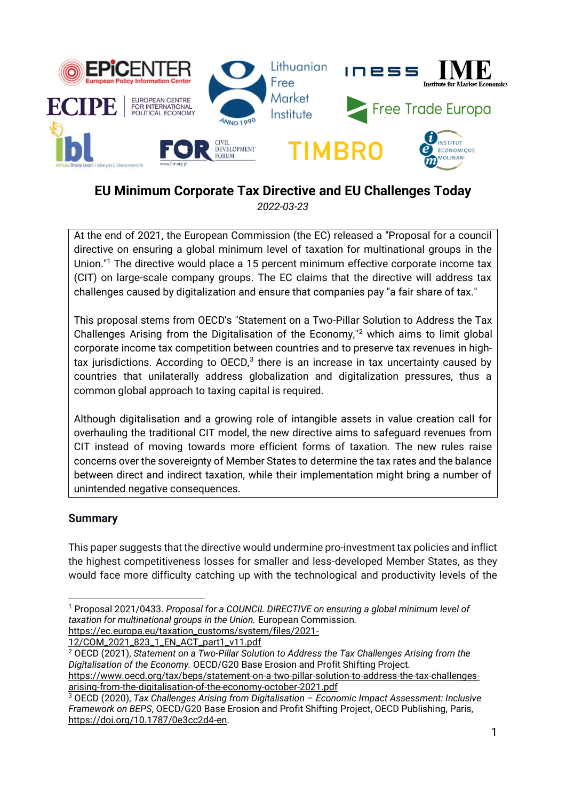

# **EU Minimum Corporate Tax Directive and EU Challenges Today**

*2022-03-23*

At the end of 2021, the European Commission (the EC) released a "Proposal for a council directive on ensuring a global minimum level of taxation for multinational groups in the Union."<sup>1</sup> The directive would place a 15 percent minimum effective corporate income tax (CIT) on large-scale company groups. The EC claims that the directive will address tax challenges caused by digitalization and ensure that companies pay "a fair share of tax."

This proposal stems from OECD's "Statement on a Two-Pillar Solution to Address the Tax Challenges Arising from the Digitalisation of the Economy,"<sup>2</sup> which aims to limit global corporate income tax competition between countries and to preserve tax revenues in hightax jurisdictions. According to OECD, $3$  there is an increase in tax uncertainty caused by countries that unilaterally address globalization and digitalization pressures, thus a common global approach to taxing capital is required.

Although digitalisation and a growing role of intangible assets in value creation call for overhauling the traditional CIT model, the new directive aims to safeguard revenues from CIT instead of moving towards more efficient forms of taxation. The new rules raise concerns over the sovereignty of Member States to determine the tax rates and the balance between direct and indirect taxation, while their implementation might bring a number of unintended negative consequences.

# **Summary**

This paper suggests that the directive would undermine pro-investment tax policies and inflict the highest competitiveness losses for smaller and less-developed Member States, as they would face more difficulty catching up with the technological and productivity levels of the

[12/COM\\_2021\\_823\\_1\\_EN\\_ACT\\_part1\\_v11.pdf](https://ec.europa.eu/taxation_customs/system/files/2021-12/COM_2021_823_1_EN_ACT_part1_v11.pdf) 

<sup>2</sup> OECD (2021), *Statement on a Two-Pillar Solution to Address the Tax Challenges Arising from the Digitalisation of the Economy.* OECD/G20 Base Erosion and Profit Shifting Project.

[https://www.oecd.org/tax/beps/statement-on-a-two-pillar-solution-to-address-the-tax-challenges](https://www.oecd.org/tax/beps/statement-on-a-two-pillar-solution-to-address-the-tax-challenges-arising-from-the-digitalisation-of-the-economy-october-2021.pdf)[arising-from-the-digitalisation-of-the-economy-october-2021.pdf](https://www.oecd.org/tax/beps/statement-on-a-two-pillar-solution-to-address-the-tax-challenges-arising-from-the-digitalisation-of-the-economy-october-2021.pdf)

<sup>1</sup> Proposal 2021/0433. *Proposal for a COUNCIL DIRECTIVE on ensuring a global minimum level of taxation for multinational groups in the Union.* European Commission. [https://ec.europa.eu/taxation\\_customs/system/files/2021-](https://ec.europa.eu/taxation_customs/system/files/2021-12/COM_2021_823_1_EN_ACT_part1_v11.pdf)

<sup>3</sup> OECD (2020), *Tax Challenges Arising from Digitalisation – Economic Impact Assessment: Inclusive Framework on BEPS*, OECD/G20 Base Erosion and Profit Shifting Project, OECD Publishing, Paris, [https://doi.org/10.1787/0e3cc2d4-en.](https://doi.org/10.1787/0e3cc2d4-en)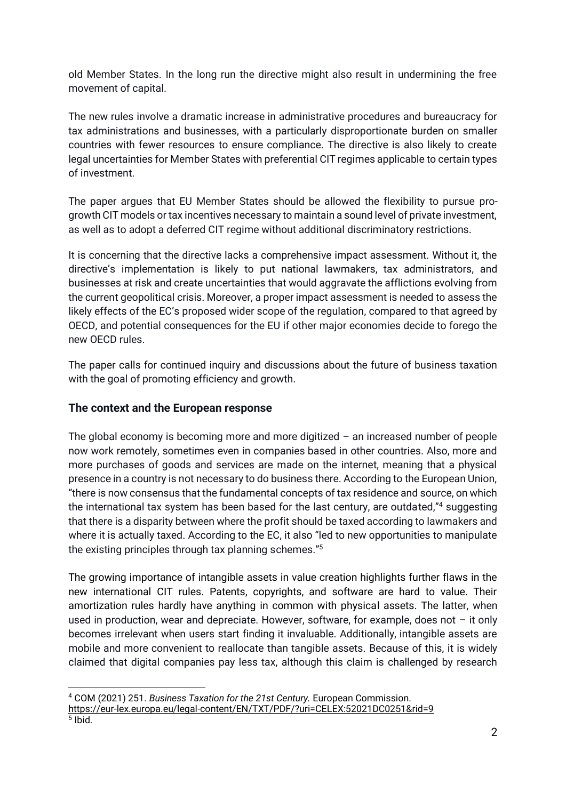old Member States. In the long run the directive might also result in undermining the free movement of capital.

The new rules involve a dramatic increase in administrative procedures and bureaucracy for tax administrations and businesses, with a particularly disproportionate burden on smaller countries with fewer resources to ensure compliance. The directive is also likely to create legal uncertainties for Member States with preferential CIT regimes applicable to certain types of investment.

The paper argues that EU Member States should be allowed the flexibility to pursue progrowth CIT models or tax incentives necessary to maintain a sound level of private investment, as well as to adopt a deferred CIT regime without additional discriminatory restrictions.

It is concerning that the directive lacks a comprehensive impact assessment. Without it, the directive's implementation is likely to put national lawmakers, tax administrators, and businesses at risk and create uncertainties that would aggravate the afflictions evolving from the current geopolitical crisis. Moreover, a proper impact assessment is needed to assess the likely effects of the EC's proposed wider scope of the regulation, compared to that agreed by OECD, and potential consequences for the EU if other major economies decide to forego the new OECD rules.

The paper calls for continued inquiry and discussions about the future of business taxation with the goal of promoting efficiency and growth.

# **The context and the European response**

The global economy is becoming more and more digitized – an increased number of people now work remotely, sometimes even in companies based in other countries. Also, more and more purchases of goods and services are made on the internet, meaning that a physical presence in a country is not necessary to do business there. According to the European Union, "there is now consensus that the fundamental concepts of tax residence and source, on which the international tax system has been based for the last century, are outdated,"<sup>4</sup> suggesting that there is a disparity between where the profit should be taxed according to lawmakers and where it is actually taxed. According to the EC, it also "led to new opportunities to manipulate the existing principles through tax planning schemes."<sup>5</sup>

The growing importance of intangible assets in value creation highlights further flaws in the new international CIT rules. Patents, copyrights, and software are hard to value. Their amortization rules hardly have anything in common with physical assets. The latter, when used in production, wear and depreciate. However, software, for example, does not  $-$  it only becomes irrelevant when users start finding it invaluable. Additionally, intangible assets are mobile and more convenient to reallocate than tangible assets. Because of this, it is widely claimed that digital companies pay less tax, although this claim is challenged by research

<sup>4</sup> COM (2021) 251. *Business Taxation for the 21st Century.* European Commission. <https://eur-lex.europa.eu/legal-content/EN/TXT/PDF/?uri=CELEX:52021DC0251&rid=9> 5 Ibid.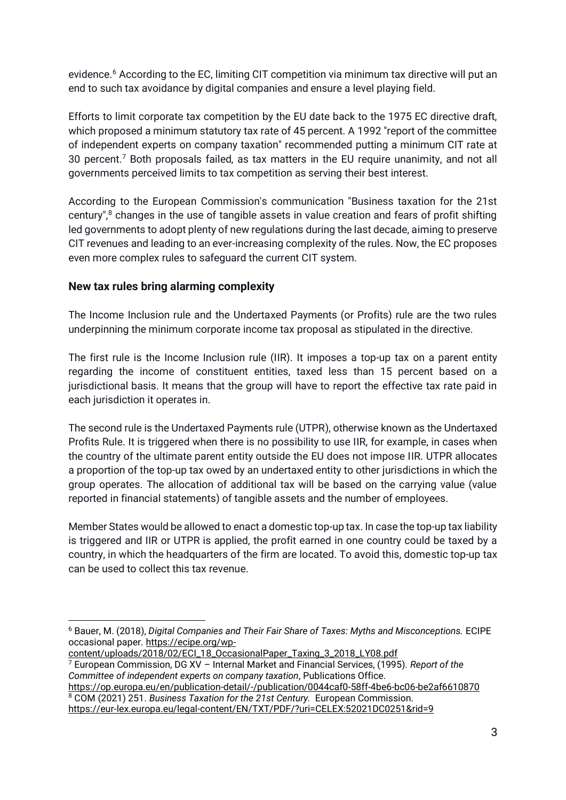evidence.<sup>6</sup> According to the EC, limiting CIT competition via minimum tax directive will put an end to such tax avoidance by digital companies and ensure a level playing field.

Efforts to limit corporate tax competition by the EU date back to the 1975 EC directive draft, which proposed a minimum statutory tax rate of 45 percent. A 1992 "report of the committee of independent experts on company taxation" recommended putting a minimum CIT rate at 30 percent.<sup>7</sup> Both proposals failed, as tax matters in the EU require unanimity, and not all governments perceived limits to tax competition as serving their best interest.

According to the European Commission's communication "Business taxation for the 21st century",<sup>8</sup> changes in the use of tangible assets in value creation and fears of profit shifting led governments to adopt plenty of new regulations during the last decade, aiming to preserve CIT revenues and leading to an ever-increasing complexity of the rules. Now, the EC proposes even more complex rules to safeguard the current CIT system.

# **New tax rules bring alarming complexity**

The Income Inclusion rule and the Undertaxed Payments (or Profits) rule are the two rules underpinning the minimum corporate income tax proposal as stipulated in the directive.

The first rule is the Income Inclusion rule (IIR). It imposes a top-up tax on a parent entity regarding the income of constituent entities, taxed less than 15 percent based on a jurisdictional basis. It means that the group will have to report the effective tax rate paid in each jurisdiction it operates in.

The second rule is the Undertaxed Payments rule (UTPR), otherwise known as the Undertaxed Profits Rule. It is triggered when there is no possibility to use IIR, for example, in cases when the country of the ultimate parent entity outside the EU does not impose IIR. UTPR allocates a proportion of the top-up tax owed by an undertaxed entity to other jurisdictions in which the group operates. The allocation of additional tax will be based on the carrying value (value reported in financial statements) of tangible assets and the number of employees.

Member States would be allowed to enact a domestic top-up tax. In case the top-up tax liability is triggered and IIR or UTPR is applied, the profit earned in one country could be taxed by a country, in which the headquarters of the firm are located. To avoid this, domestic top-up tax can be used to collect this tax revenue.

<https://op.europa.eu/en/publication-detail/-/publication/0044caf0-58ff-4be6-bc06-be2af6610870> <sup>8</sup> COM (2021) 251. *Business Taxation for the 21st Century.* European Commission.

<https://eur-lex.europa.eu/legal-content/EN/TXT/PDF/?uri=CELEX:52021DC0251&rid=9>

<sup>6</sup> Bauer, M. (2018), *Digital Companies and Their Fair Share of Taxes: Myths and Misconceptions.* ECIPE occasional paper. [https://ecipe.org/wp-](https://ecipe.org/wp-content/uploads/2018/02/ECI_18_OccasionalPaper_Taxing_3_2018_LY08.pdf)

[content/uploads/2018/02/ECI\\_18\\_OccasionalPaper\\_Taxing\\_3\\_2018\\_LY08.pdf](https://ecipe.org/wp-content/uploads/2018/02/ECI_18_OccasionalPaper_Taxing_3_2018_LY08.pdf) <sup>7</sup> European Commission, DG XV – Internal Market and Financial Services, (1995). *Report of the Committee of independent experts on company taxation*, Publications Office.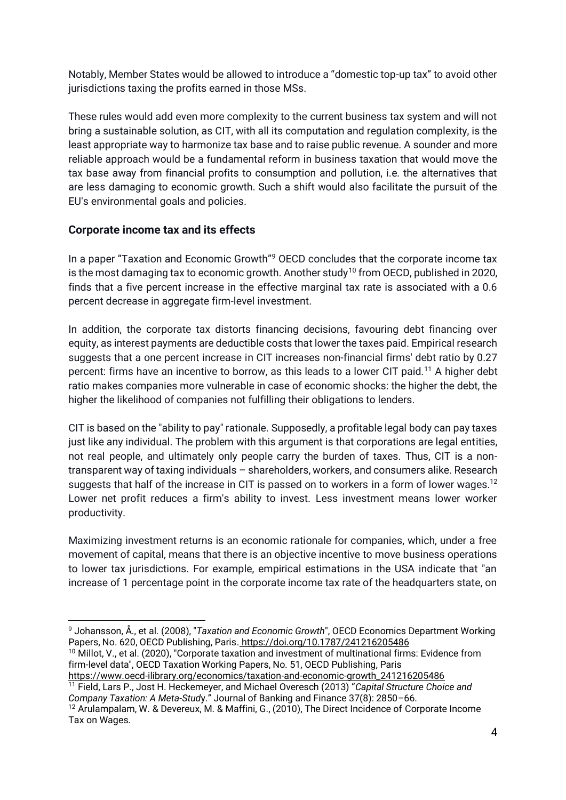Notably, Member States would be allowed to introduce a "domestic top-up tax" to avoid other jurisdictions taxing the profits earned in those MSs.

These rules would add even more complexity to the current business tax system and will not bring a sustainable solution, as CIT, with all its computation and regulation complexity, is the least appropriate way to harmonize tax base and to raise public revenue. A sounder and more reliable approach would be a fundamental reform in business taxation that would move the tax base away from financial profits to consumption and pollution, i.e. the alternatives that are less damaging to economic growth. Such a shift would also facilitate the pursuit of the EU's environmental goals and policies.

# **Corporate income tax and its effects**

In a paper "Taxation and Economic Growth"<sup>9</sup> OECD concludes that the corporate income tax is the most damaging tax to economic growth. Another study<sup>10</sup> from OECD, published in 2020, finds that a five percent increase in the effective marginal tax rate is associated with a 0.6 percent decrease in aggregate firm-level investment.

In addition, the corporate tax distorts financing decisions, favouring debt financing over equity, as interest payments are deductible costs that lower the taxes paid. Empirical research suggests that a one percent increase in CIT increases non-financial firms' debt ratio by 0.27 percent: firms have an incentive to borrow, as this leads to a lower CIT paid.<sup>11</sup> A higher debt ratio makes companies more vulnerable in case of economic shocks: the higher the debt, the higher the likelihood of companies not fulfilling their obligations to lenders.

CIT is based on the "ability to pay" rationale. Supposedly, a profitable legal body can pay taxes just like any individual. The problem with this argument is that corporations are legal entities, not real people, and ultimately only people carry the burden of taxes. Thus, CIT is a nontransparent way of taxing individuals – shareholders, workers, and consumers alike. Research suggests that half of the increase in CIT is passed on to workers in a form of lower wages.<sup>12</sup> Lower net profit reduces a firm's ability to invest. Less investment means lower worker productivity.

Maximizing investment returns is an economic rationale for companies, which, under a free movement of capital, means that there is an objective incentive to move business operations to lower tax jurisdictions. For example, empirical estimations in the USA indicate that "an increase of 1 percentage point in the corporate income tax rate of the headquarters state, on

<sup>10</sup> Millot, V., et al. (2020), "Corporate taxation and investment of multinational firms: Evidence from firm-level data", OECD Taxation Working Papers, No. 51, OECD Publishing, Paris [https://www.oecd-ilibrary.org/economics/taxation-and-economic-growth\\_241216205486](https://www.oecd-ilibrary.org/economics/taxation-and-economic-growth_241216205486)

<sup>11</sup> Field, Lars P., Jost H. Heckemeyer, and Michael Overesch (2013) "*Capital Structure Choice and Company Taxation: A Meta-Stud*y." Journal of Banking and Finance 37(8): 2850–66.

<sup>9</sup> Johansson, Å., et al. (2008), "*Taxation and Economic Growth*", OECD Economics Department Working Papers, No. 620, OECD Publishing, Paris. <https://doi.org/10.1787/241216205486>

<sup>&</sup>lt;sup>12</sup> Arulampalam, W. & Devereux, M. & Maffini, G., (2010), The Direct Incidence of Corporate Income Tax on Wages*.*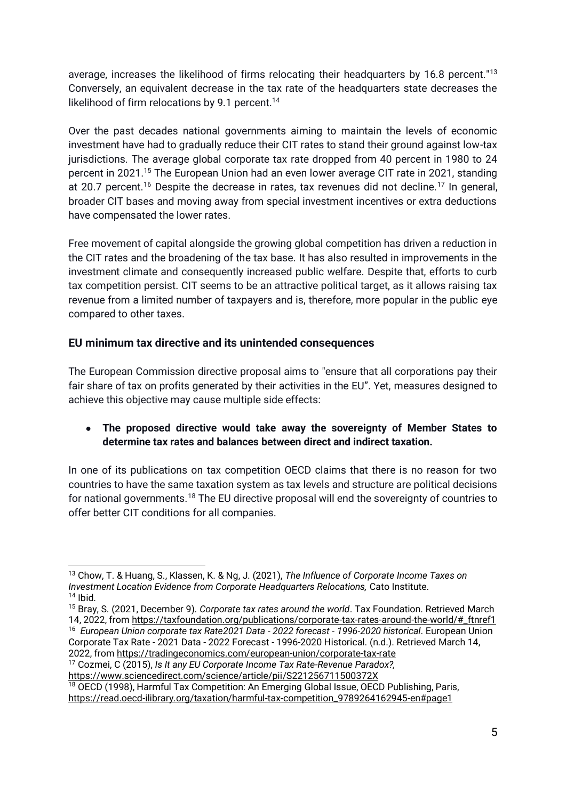average, increases the likelihood of firms relocating their headquarters by 16.8 percent."<sup>13</sup> Conversely, an equivalent decrease in the tax rate of the headquarters state decreases the likelihood of firm relocations by 9.1 percent.<sup>14</sup>

Over the past decades national governments aiming to maintain the levels of economic investment have had to gradually reduce their CIT rates to stand their ground against low-tax jurisdictions. The average global corporate tax rate dropped from 40 percent in 1980 to 24 percent in 2021.<sup>15</sup> The European Union had an even lower average CIT rate in 2021, standing at 20.7 percent.<sup>16</sup> Despite the decrease in rates, tax revenues did not decline.<sup>17</sup> In general, broader CIT bases and moving away from special investment incentives or extra deductions have compensated the lower rates.

Free movement of capital alongside the growing global competition has driven a reduction in the CIT rates and the broadening of the tax base. It has also resulted in improvements in the investment climate and consequently increased public welfare. Despite that, efforts to curb tax competition persist. CIT seems to be an attractive political target, as it allows raising tax revenue from a limited number of taxpayers and is, therefore, more popular in the public eye compared to other taxes.

# **EU minimum tax directive and its unintended consequences**

The European Commission directive proposal aims to "ensure that all corporations pay their fair share of tax on profits generated by their activities in the EU". Yet, measures designed to achieve this objective may cause multiple side effects:

# ● **The proposed directive would take away the sovereignty of Member States to determine tax rates and balances between direct and indirect taxation.**

In one of its publications on tax competition OECD claims that there is no reason for two countries to have the same taxation system as tax levels and structure are political decisions for national governments.<sup>18</sup> The EU directive proposal will end the sovereignty of countries to offer better CIT conditions for all companies.

<sup>18</sup> OECD (1998), Harmful Tax Competition: An Emerging Global Issue, OECD Publishing, Paris, [https://read.oecd-ilibrary.org/taxation/harmful-tax-competition\\_9789264162945-en#page1](https://read.oecd-ilibrary.org/taxation/harmful-tax-competition_9789264162945-en#page1)

<sup>13</sup> Chow, T. & Huang, S., Klassen, K. & Ng, J. (2021), *The Influence of Corporate Income Taxes on Investment Location Evidence from Corporate Headquarters Relocations,* Cato Institute.  $14$  Ibid.

<sup>15</sup> Bray, S. (2021, December 9). *Corporate tax rates around the world*. Tax Foundation. Retrieved March 14, 2022, fro[m https://taxfoundation.org/publications/corporate-tax-rates-around-the-world/#\\_ftnref1](https://taxfoundation.org/publications/corporate-tax-rates-around-the-world/#_ftnref1) <sup>16</sup> *European Union corporate tax Rate2021 Data - 2022 forecast - 1996-2020 historical*. European Union Corporate Tax Rate - 2021 Data - 2022 Forecast - 1996-2020 Historical. (n.d.). Retrieved March 14, 2022, fro[m https://tradingeconomics.com/european-union/corporate-tax-rate](https://tradingeconomics.com/european-union/corporate-tax-rate)

<sup>17</sup> Cozmei, C (2015), *Is It any EU Corporate Income Tax Rate-Revenue Paradox?,* <https://www.sciencedirect.com/science/article/pii/S221256711500372X>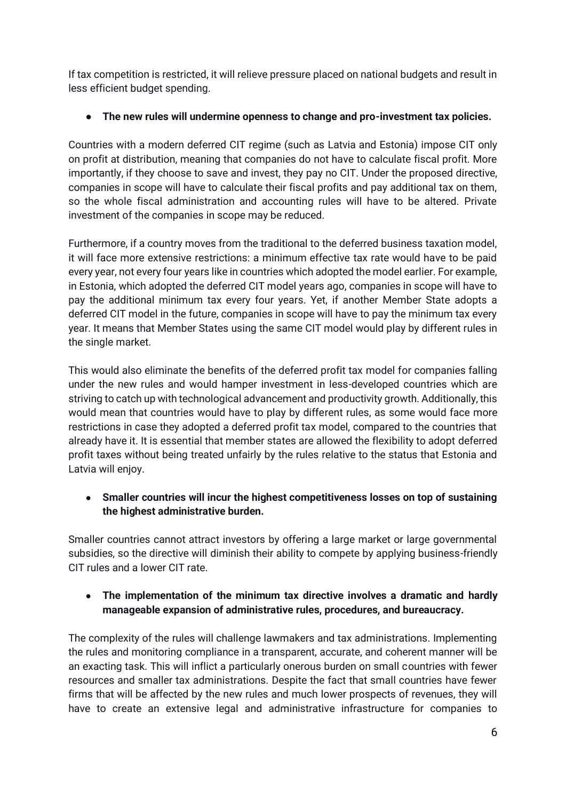If tax competition is restricted, it will relieve pressure placed on national budgets and result in less efficient budget spending.

# ● **The new rules will undermine openness to change and pro-investment tax policies.**

Countries with a modern deferred CIT regime (such as Latvia and Estonia) impose CIT only on profit at distribution, meaning that companies do not have to calculate fiscal profit. More importantly, if they choose to save and invest, they pay no CIT. Under the proposed directive, companies in scope will have to calculate their fiscal profits and pay additional tax on them, so the whole fiscal administration and accounting rules will have to be altered. Private investment of the companies in scope may be reduced.

Furthermore, if a country moves from the traditional to the deferred business taxation model, it will face more extensive restrictions: a minimum effective tax rate would have to be paid every year, not every four years like in countries which adopted the model earlier. For example, in Estonia, which adopted the deferred CIT model years ago, companies in scope will have to pay the additional minimum tax every four years. Yet, if another Member State adopts a deferred CIT model in the future, companies in scope will have to pay the minimum tax every year. It means that Member States using the same CIT model would play by different rules in the single market.

This would also eliminate the benefits of the deferred profit tax model for companies falling under the new rules and would hamper investment in less-developed countries which are striving to catch up with technological advancement and productivity growth. Additionally, this would mean that countries would have to play by different rules, as some would face more restrictions in case they adopted a deferred profit tax model, compared to the countries that already have it. It is essential that member states are allowed the flexibility to adopt deferred profit taxes without being treated unfairly by the rules relative to the status that Estonia and Latvia will enjoy.

# ● **Smaller countries will incur the highest competitiveness losses on top of sustaining the highest administrative burden.**

Smaller countries cannot attract investors by offering a large market or large governmental subsidies, so the directive will diminish their ability to compete by applying business-friendly CIT rules and a lower CIT rate.

# ● **The implementation of the minimum tax directive involves a dramatic and hardly manageable expansion of administrative rules, procedures, and bureaucracy.**

The complexity of the rules will challenge lawmakers and tax administrations. Implementing the rules and monitoring compliance in a transparent, accurate, and coherent manner will be an exacting task. This will inflict a particularly onerous burden on small countries with fewer resources and smaller tax administrations. Despite the fact that small countries have fewer firms that will be affected by the new rules and much lower prospects of revenues, they will have to create an extensive legal and administrative infrastructure for companies to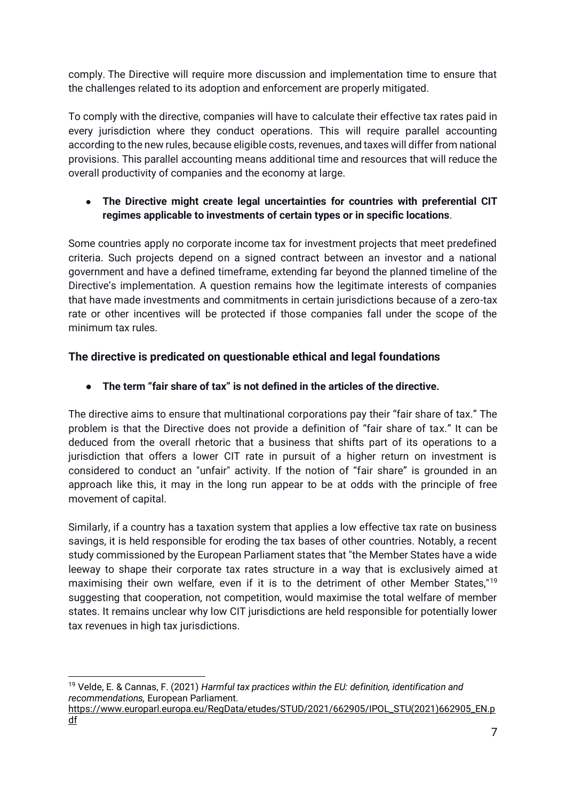comply. The Directive will require more discussion and implementation time to ensure that the challenges related to its adoption and enforcement are properly mitigated.

To comply with the directive, companies will have to calculate their effective tax rates paid in every jurisdiction where they conduct operations. This will require parallel accounting according to the new rules, because eligible costs, revenues, and taxes will differ from national provisions. This parallel accounting means additional time and resources that will reduce the overall productivity of companies and the economy at large.

● **The Directive might create legal uncertainties for countries with preferential CIT regimes applicable to investments of certain types or in specific locations**.

Some countries apply no corporate income tax for investment projects that meet predefined criteria. Such projects depend on a signed contract between an investor and a national government and have a defined timeframe, extending far beyond the planned timeline of the Directive's implementation. A question remains how the legitimate interests of companies that have made investments and commitments in certain jurisdictions because of a zero-tax rate or other incentives will be protected if those companies fall under the scope of the minimum tax rules.

# **The directive is predicated on questionable ethical and legal foundations**

● **The term "fair share of tax" is not defined in the articles of the directive.** 

The directive aims to ensure that multinational corporations pay their "fair share of tax." The problem is that the Directive does not provide a definition of "fair share of tax." It can be deduced from the overall rhetoric that a business that shifts part of its operations to a jurisdiction that offers a lower CIT rate in pursuit of a higher return on investment is considered to conduct an "unfair" activity. If the notion of "fair share" is grounded in an approach like this, it may in the long run appear to be at odds with the principle of free movement of capital.

Similarly, if a country has a taxation system that applies a low effective tax rate on business savings, it is held responsible for eroding the tax bases of other countries. Notably, a recent study commissioned by the European Parliament states that "the Member States have a wide leeway to shape their corporate tax rates structure in a way that is exclusively aimed at maximising their own welfare, even if it is to the detriment of other Member States,"<sup>19</sup> suggesting that cooperation, not competition, would maximise the total welfare of member states. It remains unclear why low CIT jurisdictions are held responsible for potentially lower tax revenues in high tax jurisdictions.

<sup>19</sup> Velde, E. & Cannas, F. (2021) *Harmful tax practices within the EU: definition, identification and recommendations,* European Parliament.

[https://www.europarl.europa.eu/RegData/etudes/STUD/2021/662905/IPOL\\_STU\(2021\)662905\\_EN.p](https://www.europarl.europa.eu/RegData/etudes/STUD/2021/662905/IPOL_STU(2021)662905_EN.pdf) [df](https://www.europarl.europa.eu/RegData/etudes/STUD/2021/662905/IPOL_STU(2021)662905_EN.pdf)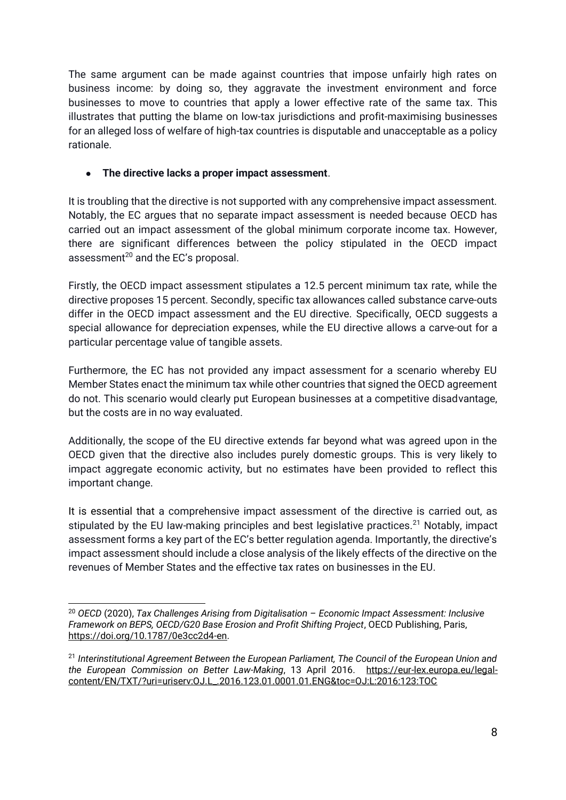The same argument can be made against countries that impose unfairly high rates on business income: by doing so, they aggravate the investment environment and force businesses to move to countries that apply a lower effective rate of the same tax. This illustrates that putting the blame on low-tax jurisdictions and profit-maximising businesses for an alleged loss of welfare of high-tax countries is disputable and unacceptable as a policy rationale.

#### ● **The directive lacks a proper impact assessment**.

It is troubling that the directive is not supported with any comprehensive impact assessment. Notably, the EC argues that no separate impact assessment is needed because OECD has carried out an impact assessment of the global minimum corporate income tax. However, there are significant differences between the policy stipulated in the OECD impact assessment<sup>20</sup> and the EC's proposal.

Firstly, the OECD impact assessment stipulates a 12.5 percent minimum tax rate, while the directive proposes 15 percent. Secondly, specific tax allowances called substance carve-outs differ in the OECD impact assessment and the EU directive. Specifically, OECD suggests a special allowance for depreciation expenses, while the EU directive allows a carve-out for a particular percentage value of tangible assets.

Furthermore, the EC has not provided any impact assessment for a scenario whereby EU Member States enact the minimum tax while other countries that signed the OECD agreement do not. This scenario would clearly put European businesses at a competitive disadvantage, but the costs are in no way evaluated.

Additionally, the scope of the EU directive extends far beyond what was agreed upon in the OECD given that the directive also includes purely domestic groups. This is very likely to impact aggregate economic activity, but no estimates have been provided to reflect this important change.

It is essential that a comprehensive impact assessment of the directive is carried out, as stipulated by the EU law-making principles and best legislative practices.<sup>21</sup> Notably, impact assessment forms a key part of the EC's better regulation agenda. Importantly, the directive's impact assessment should include a close analysis of the likely effects of the directive on the revenues of Member States and the effective tax rates on businesses in the EU.

<sup>20</sup> *OECD* (2020), *Tax Challenges Arising from Digitalisation – Economic Impact Assessment: Inclusive Framework on BEPS, OECD/G20 Base Erosion and Profit Shifting Project*, OECD Publishing, Paris, [https://doi.org/10.1787/0e3cc2d4-en.](https://doi.org/10.1787/0e3cc2d4-en)

<sup>21</sup> *Interinstitutional Agreement Between the European Parliament, The Council of the European Union and the European Commission on Better Law-Making*, 13 April 2016. [https://eur-lex.europa.eu/legal](https://eur-lex.europa.eu/legal-content/EN/TXT/?uri=uriserv:OJ.L_.2016.123.01.0001.01.ENG&toc=OJ:L:2016:123:TOC)[content/EN/TXT/?uri=uriserv:OJ.L\\_.2016.123.01.0001.01.ENG&toc=OJ:L:2016:123:TOC](https://eur-lex.europa.eu/legal-content/EN/TXT/?uri=uriserv:OJ.L_.2016.123.01.0001.01.ENG&toc=OJ:L:2016:123:TOC)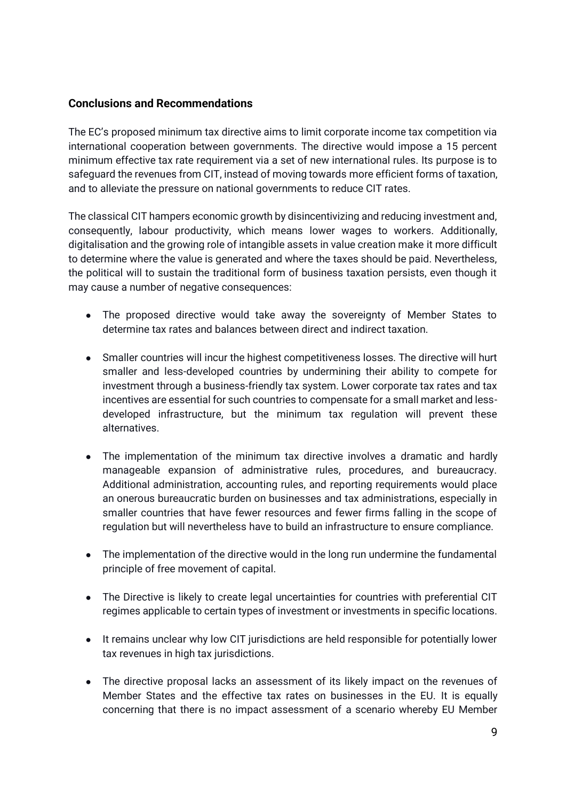#### **Conclusions and Recommendations**

The EC's proposed minimum tax directive aims to limit corporate income tax competition via international cooperation between governments. The directive would impose a 15 percent minimum effective tax rate requirement via a set of new international rules. Its purpose is to safeguard the revenues from CIT, instead of moving towards more efficient forms of taxation, and to alleviate the pressure on national governments to reduce CIT rates.

The classical CIT hampers economic growth by disincentivizing and reducing investment and, consequently, labour productivity, which means lower wages to workers. Additionally, digitalisation and the growing role of intangible assets in value creation make it more difficult to determine where the value is generated and where the taxes should be paid. Nevertheless, the political will to sustain the traditional form of business taxation persists, even though it may cause a number of negative consequences:

- The proposed directive would take away the sovereignty of Member States to determine tax rates and balances between direct and indirect taxation.
- Smaller countries will incur the highest competitiveness losses. The directive will hurt smaller and less-developed countries by undermining their ability to compete for investment through a business-friendly tax system. Lower corporate tax rates and tax incentives are essential for such countries to compensate for a small market and lessdeveloped infrastructure, but the minimum tax regulation will prevent these alternatives.
- The implementation of the minimum tax directive involves a dramatic and hardly manageable expansion of administrative rules, procedures, and bureaucracy. Additional administration, accounting rules, and reporting requirements would place an onerous bureaucratic burden on businesses and tax administrations, especially in smaller countries that have fewer resources and fewer firms falling in the scope of regulation but will nevertheless have to build an infrastructure to ensure compliance.
- The implementation of the directive would in the long run undermine the fundamental principle of free movement of capital.
- The Directive is likely to create legal uncertainties for countries with preferential CIT regimes applicable to certain types of investment or investments in specific locations.
- It remains unclear why low CIT jurisdictions are held responsible for potentially lower tax revenues in high tax jurisdictions.
- The directive proposal lacks an assessment of its likely impact on the revenues of Member States and the effective tax rates on businesses in the EU. It is equally concerning that there is no impact assessment of a scenario whereby EU Member